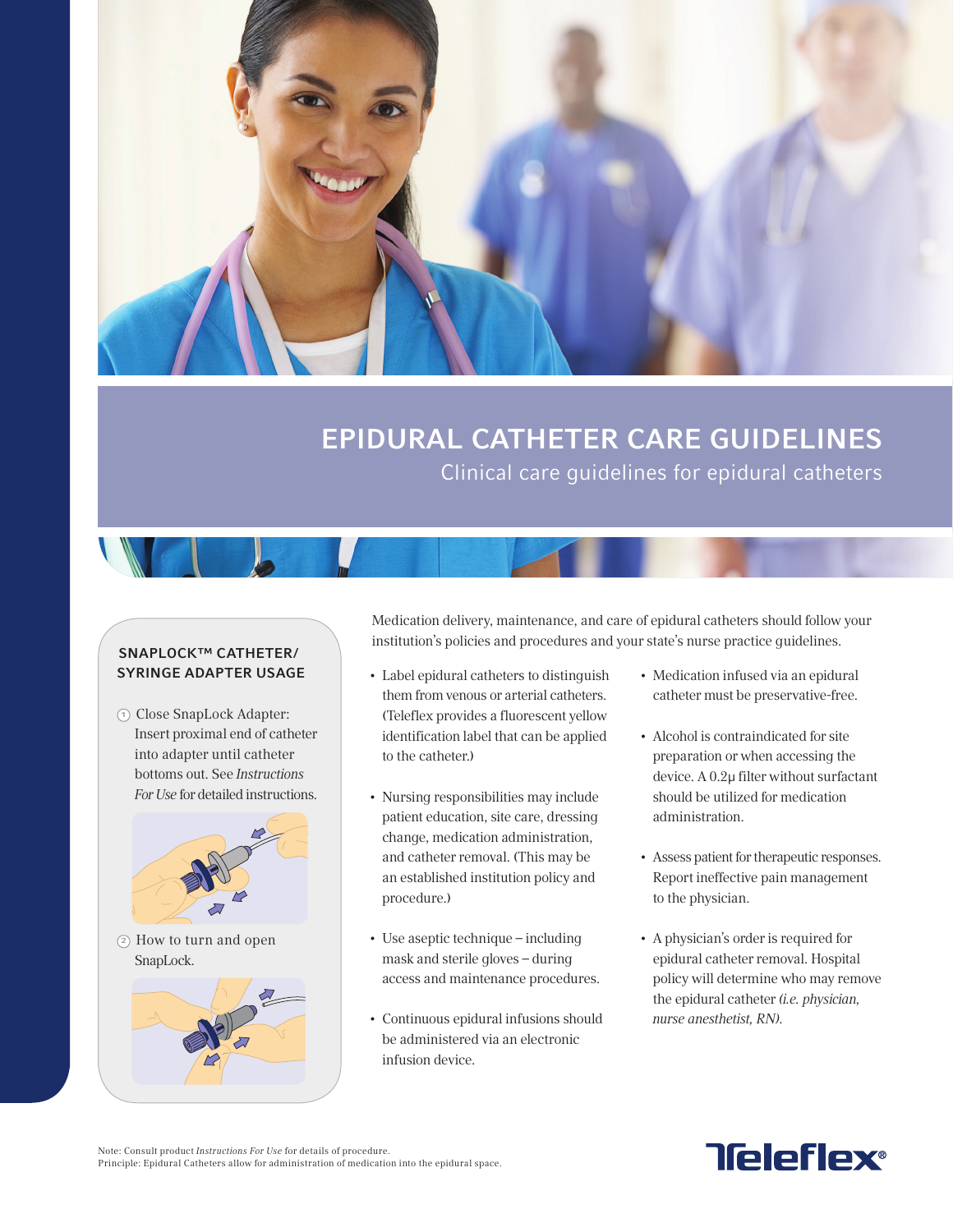

## EPIDURAL CATHETER CARE GUIDELINES Clinical care guidelines for epidural catheters

## SNAPLOCK™ CATHETER/ SYRINGE ADAPTER USAGE

<sup>1</sup> Close SnapLock Adapter: Insert proximal end of catheter into adapter until catheter bottoms out. See Instructions For Use for detailed instructions.



Medication delivery, maintenance, and care of epidural catheters should follow your institution's policies and procedures and your state's nurse practice guidelines.

- • Label epidural catheters to distinguish them from venous or arterial catheters. (Teleflex provides a fluorescent yellow identification label that can be applied to the catheter.)
- • Nursing responsibilities may include patient education, site care, dressing change, medication administration, and catheter removal. (This may be an established institution policy and procedure.)
- Use aseptic technique including mask and sterile gloves – during access and maintenance procedures.
- • Continuous epidural infusions should be administered via an electronic infusion device.
- • Medication infused via an epidural catheter must be preservative-free.
- • Alcohol is contraindicated for site preparation or when accessing the device. A 0.2µ filter without surfactant should be utilized for medication administration.
- Assess patient for therapeutic responses. Report ineffective pain management to the physician.
- • A physician's order is required for epidural catheter removal. Hospital policy will determine who may remove the epidural catheter (i.e. physician, nurse anesthetist, RN).